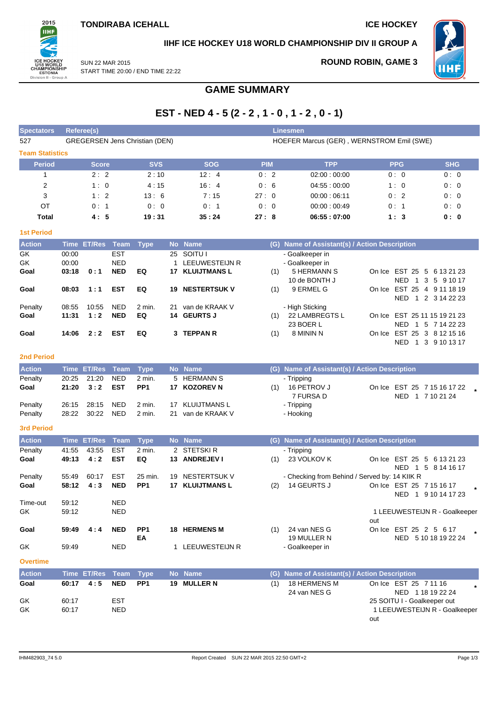**ROUND ROBIN, GAME 3**



**IIHF ICE HOCKEY U18 WORLD CHAMPIONSHIP DIV II GROUP A**



SUN 22 MAR 2015 START TIME 20:00 / END TIME 22:22

## **GAME SUMMARY**

# **EST - NED 4 - 5 (2 - 2 , 1 - 0 , 1 - 2 , 0 - 1)**

| <b>Spectators</b>      | Referee(s)                            |            |            | <b>Linesmen</b>                           |             |            |            |  |  |  |  |  |
|------------------------|---------------------------------------|------------|------------|-------------------------------------------|-------------|------------|------------|--|--|--|--|--|
| 527                    | <b>GREGERSEN Jens Christian (DEN)</b> |            |            | HOEFER Marcus (GER), WERNSTROM Emil (SWE) |             |            |            |  |  |  |  |  |
| <b>Team Statistics</b> |                                       |            |            |                                           |             |            |            |  |  |  |  |  |
| <b>Period</b>          | <b>Score</b>                          | <b>SVS</b> | <b>SOG</b> | <b>PIM</b>                                | <b>TPP</b>  | <b>PPG</b> | <b>SHG</b> |  |  |  |  |  |
|                        | 2:2                                   | 2:10       | 12:4       | 0:2                                       | 02:00:00:00 | 0:0        | 0:0        |  |  |  |  |  |
| $\overline{2}$         | 1:0                                   | 4:15       | 16:4       | 0:6                                       | 04:55:00:00 | 1:0        | 0:0        |  |  |  |  |  |
| 3                      | 1:2                                   | 13:6       | 7:15       | 27:0                                      | 00:00:06:11 | 0:2        | 0:0        |  |  |  |  |  |
| OT                     | 0:1                                   | 0:0        | 0:1        | 0:0                                       | 00:00:00:49 | 0:1        | 0:0        |  |  |  |  |  |
| Total                  | 4:5                                   | 19:31      | 35:24      | 27:8                                      | 06:55:07:00 | 1:3        | 0: 0       |  |  |  |  |  |

### **1st Period**

| <b>Action</b> |       | Time ET/Res Team Type |            |        |     | No Name             |     | (G) Name of Assistant(s) / Action Description |                                        |
|---------------|-------|-----------------------|------------|--------|-----|---------------------|-----|-----------------------------------------------|----------------------------------------|
| GK.           | 00:00 |                       | <b>EST</b> |        |     | 25 SOITU I          |     | - Goalkeeper in                               |                                        |
| GK            | 00:00 |                       | <b>NED</b> |        |     | LEEUWESTEIJN R      |     | - Goalkeeper in                               |                                        |
| Goal          | 03:18 | 0:1                   | <b>NED</b> | EQ     | 17. | <b>KLUIJTMANS L</b> | (1) | 5 HERMANN S                                   | On Ice EST 25 5 6 13 21 23             |
|               |       |                       |            |        |     |                     |     | 10 de BONTH J                                 | <b>NED</b><br>1 3 5 9 10 17            |
| Goal          | 08:03 | 1:1                   | <b>EST</b> | EQ     | 19  | <b>NESTERTSUK V</b> | (1) | 9 ERMEL G                                     | On Ice EST 25 4 9 11 18 19             |
|               |       |                       |            |        |     |                     |     |                                               | NED.<br>1 2 3 14 22 23                 |
| Penalty       | 08:55 | 10:55                 | <b>NED</b> | 2 min. | 21  | van de KRAAK V      |     | - High Sticking                               |                                        |
| Goal          | 11:31 | 1:2                   | <b>NED</b> | EQ     |     | 14 GEURTS J         | (1) | 22 LAMBREGTS L                                | On Ice EST 25 11 15 19 21 23           |
|               |       |                       |            |        |     |                     |     | 23 BOER L                                     | NED.<br>5 7 14 22 23<br>$\overline{1}$ |
| Goal          | 14:06 | 2:2                   | EST        | EQ     |     | 3 TEPPAN R          | (1) | 8 MININ N                                     | On Ice EST 25 3 8 12 15 16             |
|               |       |                       |            |        |     |                     |     |                                               | <b>NED</b><br>3 9 10 13 17             |

### **2nd Period**

| <b>Action</b> |       | Time ET/Res Team Type |            |                 | No Name           |     | (G) Name of Assistant(s) / Action Description |  |                             |  |
|---------------|-------|-----------------------|------------|-----------------|-------------------|-----|-----------------------------------------------|--|-----------------------------|--|
| Penalty       | 20:25 | 21:20                 | <b>NED</b> | 2 min.          | 5 HERMANN S       |     | - Tripping                                    |  |                             |  |
| Goal          | 21:20 | 3:2                   | EST        | PP <sub>1</sub> | 17 KOZOREV N      | (1) | 16 PETROV J                                   |  | On Ice EST 25 7 15 16 17 22 |  |
|               |       |                       |            |                 |                   |     | 7 FURSA D                                     |  | NED 1 7 10 21 24            |  |
| Penalty       |       | 26:15 28:15           | NED        | 2 min.          | 17 KLUIJTMANS L   |     | - Tripping                                    |  |                             |  |
| Penalty       |       | 28:22 30:22           | <b>NED</b> | 2 min.          | 21 van de KRAAK V |     | - Hooking                                     |  |                             |  |

## **3rd Period**

| <b>Action</b>   | <b>Time</b> | <b>ET/Res</b>          | Team       | <b>Type</b>     |     | No Name             | (G) | Name of Assistant(s) / Action Description         |        |                                   |  |
|-----------------|-------------|------------------------|------------|-----------------|-----|---------------------|-----|---------------------------------------------------|--------|-----------------------------------|--|
| Penalty         | 41:55       | 43:55                  | <b>EST</b> | $2$ min.        |     | 2 STETSKIR          |     | - Tripping                                        |        |                                   |  |
| Goal            | 49:13       | 4:2                    | <b>EST</b> | EQ              | 13. | <b>ANDREJEV I</b>   | (1) | 23 VOLKOV K                                       |        | On Ice EST 25 5 6 13 21 23        |  |
|                 |             |                        |            |                 |     |                     |     |                                                   |        | NFD <sub>1</sub><br>5 8 14 16 17  |  |
| Penalty         | 55:49       | 60:17                  | <b>EST</b> | 25 min.         | 19  | NESTERTSUK V        |     | - Checking from Behind / Served by: 14 KIIK R     |        |                                   |  |
| Goal            | 58:12       | 4:3                    | <b>NED</b> | PP <sub>1</sub> | 17  | <b>KLUIJTMANS L</b> | (2) | 14 GEURTS J                                       |        | On Ice EST 25 7 15 16 17          |  |
|                 |             |                        |            |                 |     |                     |     |                                                   |        | NED <sub>1</sub><br>9 10 14 17 23 |  |
| Time-out        | 59:12       |                        | <b>NED</b> |                 |     |                     |     |                                                   |        |                                   |  |
| GK              | 59:12       |                        | <b>NED</b> |                 |     |                     |     |                                                   |        | 1 LEEUWESTEIJN R - Goalkeeper     |  |
|                 |             |                        |            |                 |     |                     |     |                                                   | out    |                                   |  |
| Goal            | 59:49       | 4:4                    | <b>NED</b> | PP <sub>1</sub> | 18  | <b>HERMENS M</b>    | (1) | 24 van NES G                                      | On Ice | EST 25 2 5 6 17                   |  |
|                 |             |                        |            | EA              |     |                     |     | 19 MULLER N                                       |        | NED<br>5 10 18 19 22 24           |  |
| GK              | 59.49       |                        | <b>NED</b> |                 |     | LEEUWESTEIJN R      |     | - Goalkeeper in                                   |        |                                   |  |
|                 |             |                        |            |                 |     |                     |     |                                                   |        |                                   |  |
| <b>Overtime</b> |             |                        |            |                 |     |                     |     |                                                   |        |                                   |  |
| <b>Austria</b>  |             | アジスト アアパウェー アーニス アジストー |            |                 |     | <b>Alla Alaman</b>  |     | $(0)$ bloma of Angletoniin) I Antion Dependention |        |                                   |  |

| <b>Action</b> |       | Time ET/Res Team Type |            |                 | No Name     |     | (G) Name of Assistant(s) / Action Description |                               |
|---------------|-------|-----------------------|------------|-----------------|-------------|-----|-----------------------------------------------|-------------------------------|
| Goal          | 60:17 | 4:5                   | NED        | PP <sub>1</sub> | 19 MULLER N | (1) | 18 HERMENS M                                  | On Ice EST 25 7 11 16         |
|               |       |                       |            |                 |             |     | 24 van NES G                                  | NED 1 18 19 22 24             |
| GK            | 60:17 |                       | EST        |                 |             |     |                                               | 25 SOITU I - Goalkeeper out   |
| GK            | 60:17 |                       | <b>NED</b> |                 |             |     |                                               | 1 LEEUWESTEIJN R - Goalkeeper |
|               |       |                       |            |                 |             |     |                                               | out                           |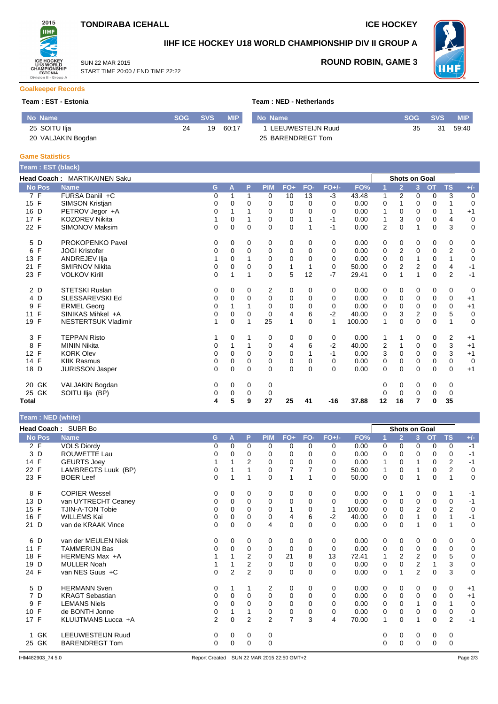

START TIME 20:00 / END TIME 22:22

SUN 22 MAR 2015



## **IIHF ICE HOCKEY U18 WORLD CHAMPIONSHIP DIV II GROUP A**



**ROUND ROBIN, GAME 3**

### **Goalkeeper Records**

**Team : EST - Estonia Team : NED - Netherlands**

| No Name            | <b>SOG</b> | <b>SVS</b> | <b>MIP</b> | No Name           | <b>SOG</b> | <b>SVS</b> | <b>MIP</b> |
|--------------------|------------|------------|------------|-------------------|------------|------------|------------|
| 25 SOITU Ilja      | 24         | 19         | 60:17      | LEEUWESTEIJN Ruud | 35         | 31         | 59:40      |
| 20 VALJAKIN Bogdan |            |            |            | 25 BARENDREGT Tom |            |            |            |

#### **Game Statistics**

| Team: EST (black)    |                                     |   |             |          |            |             |          |              |        |                         |                      |              |                |                |             |
|----------------------|-------------------------------------|---|-------------|----------|------------|-------------|----------|--------------|--------|-------------------------|----------------------|--------------|----------------|----------------|-------------|
|                      | <b>Head Coach: MARTIKAINEN Saku</b> |   |             |          |            |             |          |              |        |                         | <b>Shots on Goal</b> |              |                |                |             |
| <b>No Pos</b>        | <b>Name</b>                         | G | A           | P        | <b>PIM</b> | FO+         | FO-      | $FO+/-$      | FO%    |                         | $\overline{2}$       | 3            | $\overline{O}$ | <b>TS</b>      | $+/-$       |
| 7 F                  | FURSA Daniil +C                     | 0 | 1           | 1        | 0          | 10          | 13       | $-3$         | 43.48  | 1                       | 2                    | 0            | $\mathbf 0$    | 3              | 0           |
| 15 F                 | SIMSON Kristjan                     | 0 | 0           | 0        | 0          | $\mathbf 0$ | 0        | $\Omega$     | 0.00   | 0                       |                      | 0            | $\mathbf 0$    |                | $\mathbf 0$ |
| 16 D                 | PETROV Jegor +A                     | 0 |             |          | 0          | 0           | 0        | 0            | 0.00   | 1                       | 0                    | 0            | 0              | 1              | $+1$        |
| 17 F                 | <b>KOZOREV Nikita</b>               |   | 0           |          | 0          | 0           |          | $-1$         | 0.00   | 1                       | 3                    | 0            | 0              | 4              | $\mathbf 0$ |
| 22 F                 | SIMONOV Maksim                      | 0 | 0           | $\Omega$ | $\Omega$   | 0           |          | $-1$         | 0.00   | 2                       | $\Omega$             | 1            | $\mathbf 0$    | 3              | $\mathbf 0$ |
| 5 D                  | PROKOPENKO Pavel                    | 0 | 0           | 0        | 0          | 0           | 0        | 0            | 0.00   | 0                       | 0                    | 0            | 0              | 0              | 0           |
| $\mathsf F$<br>6     | <b>JOGI Kristofer</b>               | 0 | 0           | 0        | 0          | 0           | $\Omega$ | $\Omega$     | 0.00   | 0                       | 2                    | 0            | 0              | 2              | $\mathbf 0$ |
| F<br>13              | ANDREJEV IIja                       |   | 0           |          | 0          | $\mathbf 0$ | 0        | 0            | 0.00   | 0                       | 0                    |              | 0              | 1              | $\mathbf 0$ |
| 21 F                 | <b>SMIRNOV Nikita</b>               | 0 | 0           | 0        | 0          | 1           |          | 0            | 50.00  | 0                       | 2                    | 2            | 0              | 4              | $-1$        |
| 23 F                 | <b>VOLKOV Kirill</b>                | 0 |             |          | 0          | 5           | 12       | $-7$         | 29.41  | 0                       |                      | 1            | $\mathbf 0$    | $\overline{2}$ | $-1$        |
| 2 D                  | <b>STETSKI Ruslan</b>               | 0 | 0           | 0        | 2          | 0           | 0        | 0            | 0.00   | 0                       | 0                    | 0            | 0              | 0              | 0           |
| 4 D                  | <b>SLESSAREVSKI Ed</b>              | 0 | 0           | 0        | 0          | 0           | 0        | $\Omega$     | 0.00   | 0                       | 0                    | 0            | 0              | 0              | $+1$        |
| F<br>9               | <b>ERMEL Georg</b>                  | 0 |             |          | $\Omega$   | 0           | 0        | 0            | 0.00   | 0                       | 0                    | $\Omega$     | 0              | 0              | $+1$        |
| F<br>11              | SINIKAS Mihkel +A                   | 0 | 0           | 0        | 0          | 4           | 6        | $-2$         | 40.00  | 0                       | 3                    | 2            | $\mathbf 0$    | 5              | $\mathbf 0$ |
| 19 F                 | NESTERTSUK Vladimir                 |   | $\mathbf 0$ |          | 25         | 1           | $\Omega$ | $\mathbf{1}$ | 100.00 | 1                       | $\Omega$             | $\Omega$     | $\mathbf 0$    |                | $\mathbf 0$ |
| 3 F                  | <b>TEPPAN Risto</b>                 |   | 0           |          | 0          | 0           | 0        | 0            | 0.00   | 1                       |                      | 0            | 0              | $\overline{2}$ | $+1$        |
| F<br>8               | <b>MININ Nikita</b>                 | 0 | 1           |          | 0          | 4           | 6        | $-2$         | 40.00  | $\overline{\mathbf{c}}$ |                      | 0            | 0              | 3              | $+1$        |
| F<br>12 <sup>°</sup> | <b>KORK Olev</b>                    | 0 | $\Omega$    | 0        | 0          | $\mathbf 0$ |          | $-1$         | 0.00   | 3                       | 0                    | $\Omega$     | $\mathbf 0$    | 3              | $+1$        |
| 14 F                 | <b>KIIK Rasmus</b>                  | 0 | 0           | 0        | 0          | 0           | 0        | 0            | 0.00   | 0                       | 0                    | 0            | 0              | 0              | $\mathbf 0$ |
| D<br>18              | <b>JURISSON Jasper</b>              | 0 | 0           | 0        | $\Omega$   | 0           | $\Omega$ | $\Omega$     | 0.00   | 0                       | $\mathbf 0$          | $\mathbf{0}$ | $\mathbf 0$    | 0              | $+1$        |
| GK<br>20             | VALJAKIN Bogdan                     | 0 | 0           | 0        | 0          |             |          |              |        | 0                       | 0                    | 0            | 0              | 0              |             |
| 25 GK                | SOITU Ilja (BP)                     | 0 | 0           | 0        | 0          |             |          |              |        | 0                       | 0                    | 0            | 0              | 0              |             |
| Total                |                                     | 4 | 5           | 9        | 27         | 25          | 41       | $-16$        | 37.88  | 12                      | 16                   | 7            | 0              | 35             |             |

## **Team : NED (white)**

| $1$ vant . The $\sqrt{m}$ mass |                          |                |   |                |                |                |          |              |        |          |                      |                |           |                |             |
|--------------------------------|--------------------------|----------------|---|----------------|----------------|----------------|----------|--------------|--------|----------|----------------------|----------------|-----------|----------------|-------------|
|                                | Head Coach: SUBR Bo      |                |   |                |                |                |          |              |        |          | <b>Shots on Goal</b> |                |           |                |             |
| <b>No Pos</b>                  | <b>Name</b>              | G              | A | P              | <b>PIM</b>     | $FO+$          | FO-      | $FO+/-$      | FO%    | 1        | $\overline{2}$       | 3 <sup>2</sup> | <b>OT</b> | <b>TS</b>      | $+/-$       |
| 2 F                            | <b>VOLS Diordy</b>       | 0              | 0 | $\Omega$       | 0              | 0              | 0        | 0            | 0.00   | 0        | $\Omega$             | 0              | 0         | 0              | $-1$        |
| 3 D                            | ROUWETTE Lau             | 0              | 0 | $\Omega$       | $\Omega$       | $\Omega$       | 0        | 0            | 0.00   | 0        | $\Omega$             | 0              | 0         | 0              | $-1$        |
| 14 F                           | <b>GEURTS Joev</b>       |                |   | 2              | 0              | 0              | 0        | 0            | 0.00   | 1        | 0                    |                | 0         | 2              | $-1$        |
| 22 F                           | LAMBREGTS Luuk (BP)      | 0              |   |                | 0              |                |          | 0            | 50.00  |          | 0                    |                | 0         | $\overline{2}$ | $\mathbf 0$ |
| 23 F                           | <b>BOER Leef</b>         | 0              | 1 | 1              | $\Omega$       | $\mathbf{1}$   |          | $\Omega$     | 50.00  | 0        | $\Omega$             |                | $\Omega$  | 1              | $\mathbf 0$ |
| 8 F                            | <b>COPIER Wessel</b>     | 0              | 0 | 0              | 0              | 0              | 0        | 0            | 0.00   | 0        | 1                    | 0              | 0         | 1              | $-1$        |
| 13 D                           | van UYTRECHT Ceaney      | 0              | 0 | 0              | 0              | 0              | $\Omega$ | 0            | 0.00   | 0        | 0                    | 0              | 0         | 0              | $-1$        |
| 15 F                           | TJIN-A-TON Tobie         | 0              | 0 | $\Omega$       | $\Omega$       | 1              | 0        | $\mathbf{1}$ | 100.00 | 0        | $\Omega$             | $\overline{2}$ | 0         | $\overline{2}$ | $\mathbf 0$ |
| F<br>16                        | WILLEMS Kai              | 0              | 0 | 0              | 0              | 4              | 6        | $-2$         | 40.00  | 0        | 0                    |                | 0         | 1              | $-1$        |
| 21 D                           | van de KRAAK Vince       | $\Omega$       | 0 | $\mathbf 0$    | 4              | $\mathbf 0$    | $\Omega$ | $\Omega$     | 0.00   | 0        | $\mathbf 0$          |                | 0         | 1              | $\mathbf 0$ |
| 6 D                            | van der MEULEN Niek      | 0              | 0 | 0              | 0              | 0              | 0        | 0            | 0.00   | 0        | 0                    | 0              | 0         | 0              | 0           |
| 11 F                           | <b>TAMMERIJN Bas</b>     | 0              | 0 | $\Omega$       | 0              | 0              | $\Omega$ | 0            | 0.00   | 0        | 0                    | 0              | 0         | 0              | 0           |
| 18 F                           | HERMENS Max +A           |                |   | 2              | $\Omega$       | 21             | 8        | 13           | 72.41  |          | $\overline{2}$       | $\overline{2}$ | 0         | 5              | $\pmb{0}$   |
| 19<br>D                        | <b>MULLER Noah</b>       |                |   | 2              | 0              | 0              | 0        | 0            | 0.00   | 0        | $\mathbf{0}$         | 2              |           | 3              | $\mathbf 0$ |
| 24 F                           | van NES Guus +C          | 0              | 2 | $\overline{2}$ | 0              | $\mathbf 0$    | $\Omega$ | $\Omega$     | 0.00   | 0        |                      | 2              | 0         | 3              | $\mathbf 0$ |
| 5 D                            | <b>HERMANN Sven</b>      | 0              | 1 | 1              | 2              | 0              | 0        | 0            | 0.00   | 0        | 0                    | 0              | 0         | $\mathbf 0$    | $+1$        |
| 7 D                            | <b>KRAGT Sebastian</b>   | 0              | 0 | $\Omega$       | $\mathbf 0$    | 0              | $\Omega$ | 0            | 0.00   | 0        | 0                    | $\Omega$       | 0         | $\Omega$       | $+1$        |
| F<br>9                         | <b>LEMANS Niels</b>      | 0              | 0 | 0              | $\Omega$       | 0              | $\Omega$ | 0            | 0.00   | 0        | $\Omega$             |                | 0         | 1              | $\mathbf 0$ |
| 10 F                           | de BONTH Jonne           | 0              |   |                | 0              | 0              | 0        | 0            | 0.00   | 0        | 0                    | 0              | 0         | 0              | 0           |
| 17 F                           | KLUIJTMANS Lucca +A      | $\overline{2}$ | 0 | $\overline{2}$ | $\overline{2}$ | $\overline{7}$ | 3        | 4            | 70.00  | 1        | $\Omega$             |                | 0         | $\overline{2}$ | $-1$        |
| GK                             | <b>LEEUWESTEIJN Ruud</b> | 0              | 0 | 0              | 0              |                |          |              |        | 0        | 0                    | 0              | 0         | 0              |             |
| 25 GK                          | <b>BARENDREGT Tom</b>    | 0              | 0 | $\Omega$       | 0              |                |          |              |        | $\Omega$ | $\mathbf 0$          | 0              | 0         | 0              |             |